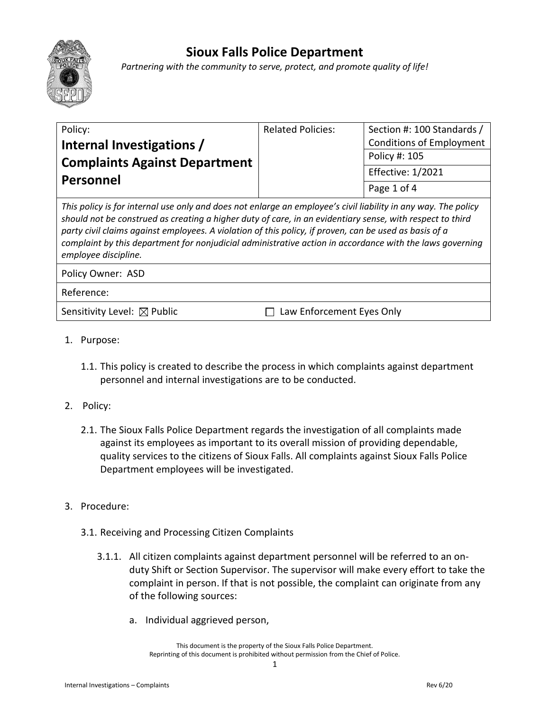

## **Sioux Falls Police Department**

*Partnering with the community to serve, protect, and promote quality of life!*

| Policy:                                                                                                                                                                                                                                                                                                                                                                                                                                           | <b>Related Policies:</b> | Section #: 100 Standards /      |
|---------------------------------------------------------------------------------------------------------------------------------------------------------------------------------------------------------------------------------------------------------------------------------------------------------------------------------------------------------------------------------------------------------------------------------------------------|--------------------------|---------------------------------|
| Internal Investigations /                                                                                                                                                                                                                                                                                                                                                                                                                         |                          | <b>Conditions of Employment</b> |
| <b>Complaints Against Department</b><br>Personnel                                                                                                                                                                                                                                                                                                                                                                                                 |                          | Policy #: 105                   |
|                                                                                                                                                                                                                                                                                                                                                                                                                                                   |                          | <b>Effective: 1/2021</b>        |
|                                                                                                                                                                                                                                                                                                                                                                                                                                                   |                          | Page 1 of 4                     |
| This policy is for internal use only and does not enlarge an employee's civil liability in any way. The policy<br>should not be construed as creating a higher duty of care, in an evidentiary sense, with respect to third<br>party civil claims against employees. A violation of this policy, if proven, can be used as basis of a<br>complaint by this department for nonjudicial administrative action in accordance with the laws governing |                          |                                 |

*employee discipline.*

Policy Owner: ASD

Reference:

Sensitivity Level:  $\boxtimes$  Public  $\Box$  Law Enforcement Eyes Only

- 1. Purpose:
	- 1.1. This policy is created to describe the process in which complaints against department personnel and internal investigations are to be conducted.
- 2. Policy:
	- 2.1. The Sioux Falls Police Department regards the investigation of all complaints made against its employees as important to its overall mission of providing dependable, quality services to the citizens of Sioux Falls. All complaints against Sioux Falls Police Department employees will be investigated.
- 3. Procedure:
	- 3.1. Receiving and Processing Citizen Complaints
		- 3.1.1. All citizen complaints against department personnel will be referred to an onduty Shift or Section Supervisor. The supervisor will make every effort to take the complaint in person. If that is not possible, the complaint can originate from any of the following sources:
			- a. Individual aggrieved person,

This document is the property of the Sioux Falls Police Department. Reprinting of this document is prohibited without permission from the Chief of Police.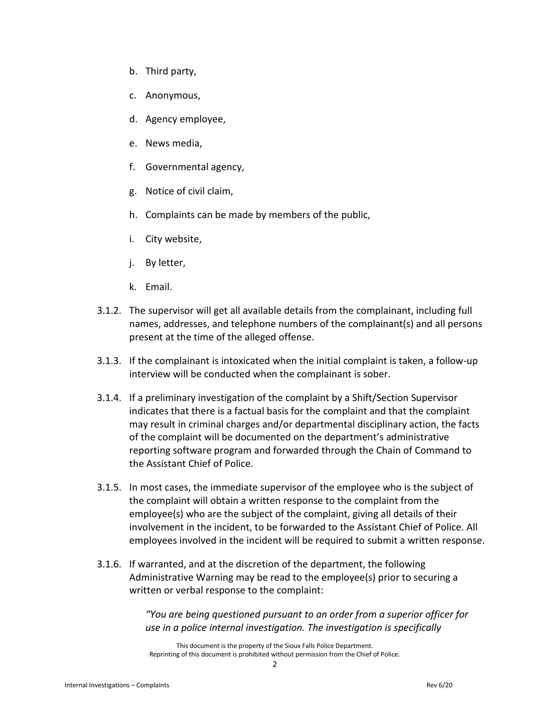- b. Third party,
- c. Anonymous,
- d. Agency employee,
- e. News media,
- f. Governmental agency,
- g. Notice of civil claim,
- h. Complaints can be made by members of the public,
- i. City website,
- j. By letter,
- k. Email.
- 3.1.2. The supervisor will get all available details from the complainant, including full names, addresses, and telephone numbers of the complainant(s) and all persons present at the time of the alleged offense.
- 3.1.3. If the complainant is intoxicated when the initial complaint is taken, a follow-up interview will be conducted when the complainant is sober.
- 3.1.4. If a preliminary investigation of the complaint by a Shift/Section Supervisor indicates that there is a factual basis for the complaint and that the complaint may result in criminal charges and/or departmental disciplinary action, the facts of the complaint will be documented on the department's administrative reporting software program and forwarded through the Chain of Command to the Assistant Chief of Police.
- 3.1.5. In most cases, the immediate supervisor of the employee who is the subject of the complaint will obtain a written response to the complaint from the employee(s) who are the subject of the complaint, giving all details of their involvement in the incident, to be forwarded to the Assistant Chief of Police. All employees involved in the incident will be required to submit a written response.
- 3.1.6. If warranted, and at the discretion of the department, the following Administrative Warning may be read to the employee(s) prior to securing a written or verbal response to the complaint:

*"You are being questioned pursuant to an order from a superior officer for use in a police internal investigation. The investigation is specifically* 

This document is the property of the Sioux Falls Police Department. Reprinting of this document is prohibited without permission from the Chief of Police.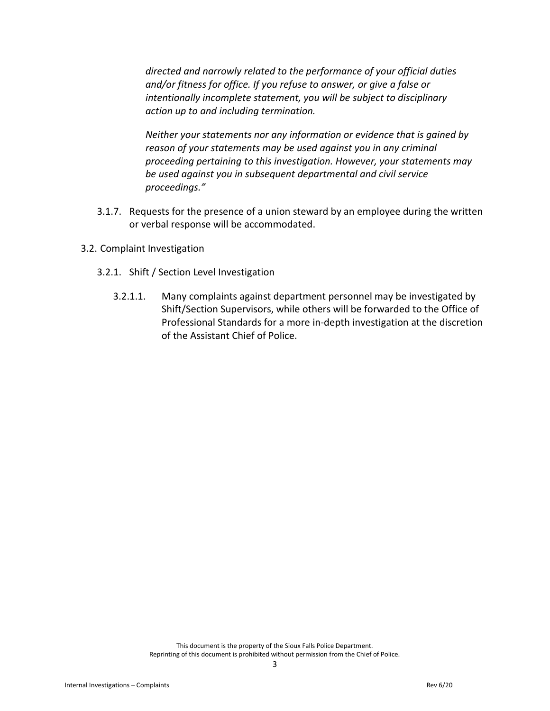*directed and narrowly related to the performance of your official duties and/or fitness for office. If you refuse to answer, or give a false or intentionally incomplete statement, you will be subject to disciplinary action up to and including termination.*

*Neither your statements nor any information or evidence that is gained by reason of your statements may be used against you in any criminal proceeding pertaining to this investigation. However, your statements may be used against you in subsequent departmental and civil service proceedings."*

- 3.1.7. Requests for the presence of a union steward by an employee during the written or verbal response will be accommodated.
- 3.2. Complaint Investigation
	- 3.2.1. Shift / Section Level Investigation
		- 3.2.1.1. Many complaints against department personnel may be investigated by Shift/Section Supervisors, while others will be forwarded to the Office of Professional Standards for a more in-depth investigation at the discretion of the Assistant Chief of Police.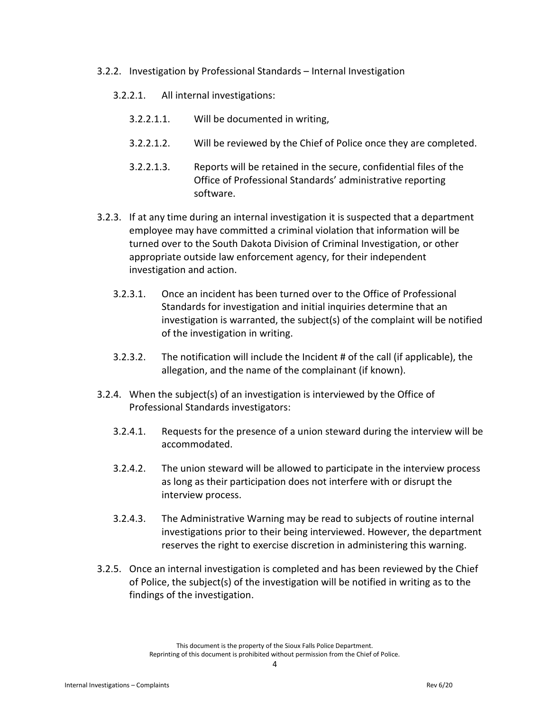- 3.2.2. Investigation by Professional Standards Internal Investigation
	- 3.2.2.1. All internal investigations:
		- 3.2.2.1.1. Will be documented in writing,
		- 3.2.2.1.2. Will be reviewed by the Chief of Police once they are completed.
		- 3.2.2.1.3. Reports will be retained in the secure, confidential files of the Office of Professional Standards' administrative reporting software.
- 3.2.3. If at any time during an internal investigation it is suspected that a department employee may have committed a criminal violation that information will be turned over to the South Dakota Division of Criminal Investigation, or other appropriate outside law enforcement agency, for their independent investigation and action.
	- 3.2.3.1. Once an incident has been turned over to the Office of Professional Standards for investigation and initial inquiries determine that an investigation is warranted, the subject(s) of the complaint will be notified of the investigation in writing.
	- 3.2.3.2. The notification will include the Incident # of the call (if applicable), the allegation, and the name of the complainant (if known).
- 3.2.4. When the subject(s) of an investigation is interviewed by the Office of Professional Standards investigators:
	- 3.2.4.1. Requests for the presence of a union steward during the interview will be accommodated.
	- 3.2.4.2. The union steward will be allowed to participate in the interview process as long as their participation does not interfere with or disrupt the interview process.
	- 3.2.4.3. The Administrative Warning may be read to subjects of routine internal investigations prior to their being interviewed. However, the department reserves the right to exercise discretion in administering this warning.
- 3.2.5. Once an internal investigation is completed and has been reviewed by the Chief of Police, the subject(s) of the investigation will be notified in writing as to the findings of the investigation.

This document is the property of the Sioux Falls Police Department. Reprinting of this document is prohibited without permission from the Chief of Police.